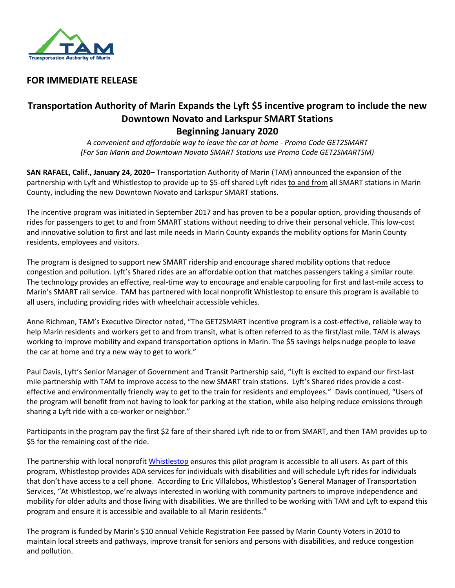

## **FOR IMMEDIATE RELEASE**

# **Transportation Authority of Marin Expands the Lyft \$5 incentive program to include the new Downtown Novato and Larkspur SMART Stations Beginning January 2020**

*A convenient and affordable way to leave the car at home - Promo Code GET2SMART (For San Marin and Downtown Novato SMART Stations use Promo Code GET2SMARTSM)*

**SAN RAFAEL, Calif., January 24, 2020–** Transportation Authority of Marin (TAM) announced the expansion of the partnership with Lyft and Whistlestop to provide up to \$5-off shared Lyft rides to and from all SMART stations in Marin County, including the new Downtown Novato and Larkspur SMART stations.

The incentive program was initiated in September 2017 and has proven to be a popular option, providing thousands of rides for passengers to get to and from SMART stations without needing to drive their personal vehicle. This low-cost and innovative solution to first and last mile needs in Marin County expands the mobility options for Marin County residents, employees and visitors.

The program is designed to support new SMART ridership and encourage shared mobility options that reduce congestion and pollution. Lyft's Shared rides are an affordable option that matches passengers taking a similar route. The technology provides an effective, real-time way to encourage and enable carpooling for first and last-mile access to Marin's SMART rail service. TAM has partnered with local nonprofit Whistlestop to ensure this program is available to all users, including providing rides with wheelchair accessible vehicles.

Anne Richman, TAM's Executive Director noted, "The GET2SMART incentive program is a cost-effective, reliable way to help Marin residents and workers get to and from transit, what is often referred to as the first/last mile. TAM is always working to improve mobility and expand transportation options in Marin. The \$5 savings helps nudge people to leave the car at home and try a new way to get to work."

Paul Davis, Lyft's Senior Manager of Government and Transit Partnership said, "Lyft is excited to expand our first-last mile partnership with TAM to improve access to the new SMART train stations. Lyft's Shared rides provide a costeffective and environmentally friendly way to get to the train for residents and employees." Davis continued, "Users of the program will benefit from not having to look for parking at the station, while also helping reduce emissions through sharing a Lyft ride with a co-worker or neighbor."

Participants in the program pay the first \$2 fare of their shared Lyft ride to or from SMART, and then TAM provides up to \$5 for the remaining cost of the ride.

The partnership with local nonprofit [Whistlestop](https://whistlestop.org/) ensures this pilot program is accessible to all users. As part of this program, Whistlestop provides ADA services for individuals with disabilities and will schedule Lyft rides for individuals that don't have access to a cell phone. According to Eric Villalobos, Whistlestop's General Manager of Transportation Services, "At Whistlestop, we're always interested in working with community partners to improve independence and mobility for older adults and those living with disabilities. We are thrilled to be working with TAM and Lyft to expand this program and ensure it is accessible and available to all Marin residents."

The program is funded by Marin's \$10 annual Vehicle Registration Fee passed by Marin County Voters in 2010 to maintain local streets and pathways, improve transit for seniors and persons with disabilities, and reduce congestion and pollution.